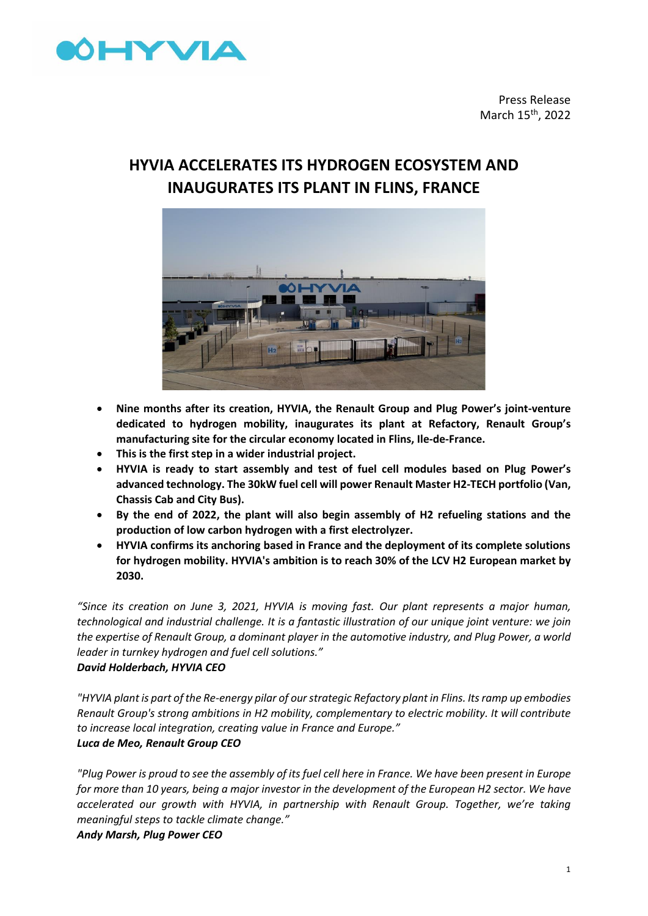

Press Release March 15<sup>th</sup>, 2022

# **HYVIA ACCELERATES ITS HYDROGEN ECOSYSTEM AND INAUGURATES ITS PLANT IN FLINS, FRANCE**



- **Nine months after its creation, HYVIA, the Renault Group and Plug Power's joint-venture dedicated to hydrogen mobility, inaugurates its plant at Refactory, Renault Group's manufacturing site for the circular economy located in Flins, Ile-de-France.**
- **This is the first step in a wider industrial project.**
- **HYVIA is ready to start assembly and test of fuel cell modules based on Plug Power's advanced technology. The 30kW fuel cell will power Renault Master H2-TECH portfolio (Van, Chassis Cab and City Bus).**
- **By the end of 2022, the plant will also begin assembly of H2 refueling stations and the production of low carbon hydrogen with a first electrolyzer.**
- **HYVIA confirms its anchoring based in France and the deployment of its complete solutions for hydrogen mobility. HYVIA's ambition is to reach 30% of the LCV H2 European market by 2030.**

*"Since its creation on June 3, 2021, HYVIA is moving fast. Our plant represents a major human, technological and industrial challenge. It is a fantastic illustration of our unique joint venture: we join the expertise of Renault Group, a dominant player in the automotive industry, and Plug Power, a world leader in turnkey hydrogen and fuel cell solutions." David Holderbach, HYVIA CEO*

*"HYVIA plant is part of the Re-energy pilar of our strategic Refactory plant in Flins. Its ramp up embodies Renault Group's strong ambitions in H2 mobility, complementary to electric mobility. It will contribute to increase local integration, creating value in France and Europe." Luca de Meo, Renault Group CEO*

*"Plug Power is proud to see the assembly of its fuel cell here in France. We have been present in Europe for more than 10 years, being a major investor in the development of the European H2 sector. We have accelerated our growth with HYVIA, in partnership with Renault Group. Together, we're taking meaningful steps to tackle climate change." Andy Marsh, Plug Power CEO*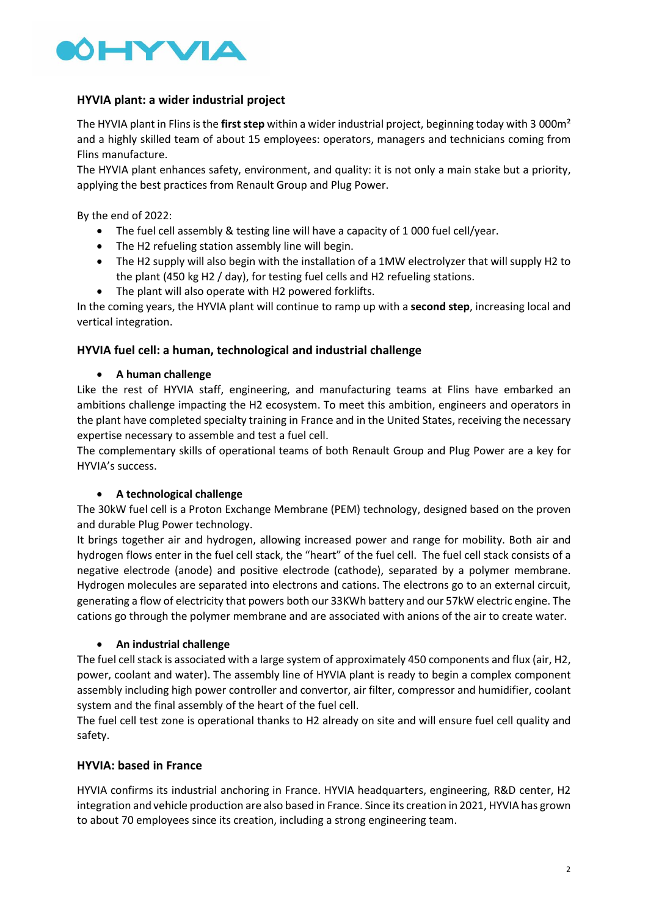

# **HYVIA plant: a wider industrial project**

The HYVIA plant in Flins is the **first step** within a wider industrial project, beginning today with 3 000m² and a highly skilled team of about 15 employees: operators, managers and technicians coming from Flins manufacture.

The HYVIA plant enhances safety, environment, and quality: it is not only a main stake but a priority, applying the best practices from Renault Group and Plug Power.

By the end of 2022:

- The fuel cell assembly & testing line will have a capacity of 1 000 fuel cell/year.
- The H2 refueling station assembly line will begin.
- The H2 supply will also begin with the installation of a 1MW electrolyzer that will supply H2 to the plant (450 kg H2 / day), for testing fuel cells and H2 refueling stations.
- The plant will also operate with H2 powered forklifts.

In the coming years, the HYVIA plant will continue to ramp up with a **second step**, increasing local and vertical integration.

## **HYVIA fuel cell: a human, technological and industrial challenge**

## • **A human challenge**

Like the rest of HYVIA staff, engineering, and manufacturing teams at Flins have embarked an ambitions challenge impacting the H2 ecosystem. To meet this ambition, engineers and operators in the plant have completed specialty training in France and in the United States, receiving the necessary expertise necessary to assemble and test a fuel cell.

The complementary skills of operational teams of both Renault Group and Plug Power are a key for HYVIA's success.

## • **A technological challenge**

The 30kW fuel cell is a Proton Exchange Membrane (PEM) technology, designed based on the proven and durable Plug Power technology.

It brings together air and hydrogen, allowing increased power and range for mobility. Both air and hydrogen flows enter in the fuel cell stack, the "heart" of the fuel cell. The fuel cell stack consists of a negative electrode (anode) and positive electrode (cathode), separated by a polymer membrane. Hydrogen molecules are separated into electrons and cations. The electrons go to an external circuit, generating a flow of electricity that powers both our 33KWh battery and our 57kW electric engine. The cations go through the polymer membrane and are associated with anions of the air to create water.

## • **An industrial challenge**

The fuel cell stack is associated with a large system of approximately 450 components and flux (air, H2, power, coolant and water). The assembly line of HYVIA plant is ready to begin a complex component assembly including high power controller and convertor, air filter, compressor and humidifier, coolant system and the final assembly of the heart of the fuel cell.

The fuel cell test zone is operational thanks to H2 already on site and will ensure fuel cell quality and safety.

# **HYVIA: based in France**

HYVIA confirms its industrial anchoring in France. HYVIA headquarters, engineering, R&D center, H2 integration and vehicle production are also based in France. Since its creation in 2021, HYVIA has grown to about 70 employees since its creation, including a strong engineering team.